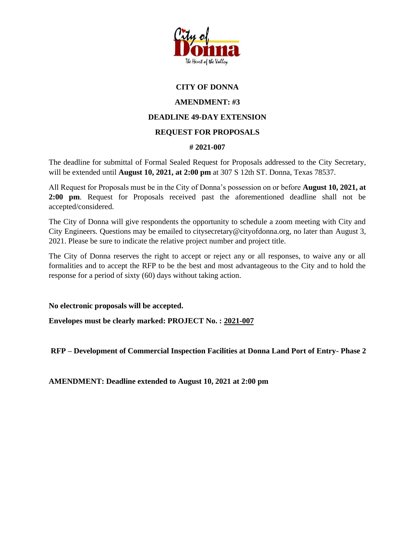

## **CITY OF DONNA**

## **AMENDMENT: #3**

## **DEADLINE 49-DAY EXTENSION**

## **REQUEST FOR PROPOSALS**

#### **# 2021-007**

The deadline for submittal of Formal Sealed Request for Proposals addressed to the City Secretary, will be extended until **August 10, 2021, at 2:00 pm** at 307 S 12th ST. Donna, Texas 78537.

All Request for Proposals must be in the City of Donna's possession on or before **August 10, 2021, at 2:00 pm**. Request for Proposals received past the aforementioned deadline shall not be accepted/considered.

The City of Donna will give respondents the opportunity to schedule a zoom meeting with City and City Engineers. Questions may be emailed to citysecretary@cityofdonna.org, no later than August 3, 2021. Please be sure to indicate the relative project number and project title.

The City of Donna reserves the right to accept or reject any or all responses, to waive any or all formalities and to accept the RFP to be the best and most advantageous to the City and to hold the response for a period of sixty (60) days without taking action.

**No electronic proposals will be accepted.**

**Envelopes must be clearly marked: PROJECT No. : 2021-007**

**RFP – Development of Commercial Inspection Facilities at Donna Land Port of Entry- Phase 2**

**AMENDMENT: Deadline extended to August 10, 2021 at 2:00 pm**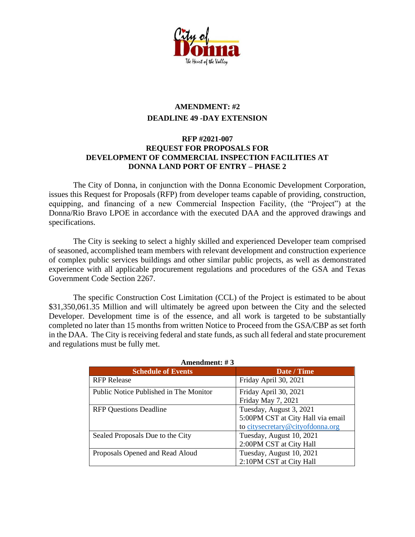

# **AMENDMENT: #2 DEADLINE 49 -DAY EXTENSION**

### **RFP #2021-007 REQUEST FOR PROPOSALS FOR DEVELOPMENT OF COMMERCIAL INSPECTION FACILITIES AT DONNA LAND PORT OF ENTRY – PHASE 2**

The City of Donna, in conjunction with the Donna Economic Development Corporation, issues this Request for Proposals (RFP) from developer teams capable of providing, construction, equipping, and financing of a new Commercial Inspection Facility, (the "Project") at the Donna/Rio Bravo LPOE in accordance with the executed DAA and the approved drawings and specifications.

The City is seeking to select a highly skilled and experienced Developer team comprised of seasoned, accomplished team members with relevant development and construction experience of complex public services buildings and other similar public projects, as well as demonstrated experience with all applicable procurement regulations and procedures of the GSA and Texas Government Code Section 2267.

The specific Construction Cost Limitation (CCL) of the Project is estimated to be about \$31,350,061.35 Million and will ultimately be agreed upon between the City and the selected Developer. Development time is of the essence, and all work is targeted to be substantially completed no later than 15 months from written Notice to Proceed from the GSA/CBP as set forth in the DAA. The City is receiving federal and state funds, as such all federal and state procurement and regulations must be fully met.

| AMENUMENT, $\pi$ J                     |                                   |
|----------------------------------------|-----------------------------------|
| <b>Schedule of Events</b>              | Date / Time                       |
| <b>RFP</b> Release                     | Friday April 30, 2021             |
| Public Notice Published in The Monitor | Friday April 30, 2021             |
|                                        | Friday May 7, 2021                |
| <b>RFP Questions Deadline</b>          | Tuesday, August 3, 2021           |
|                                        | 5:00PM CST at City Hall via email |
|                                        | to citysecretary@cityofdonna.org  |
| Sealed Proposals Due to the City       | Tuesday, August 10, 2021          |
|                                        | 2:00PM CST at City Hall           |
| Proposals Opened and Read Aloud        | Tuesday, August 10, 2021          |
|                                        | 2:10PM CST at City Hall           |

**Amendment: # 3**